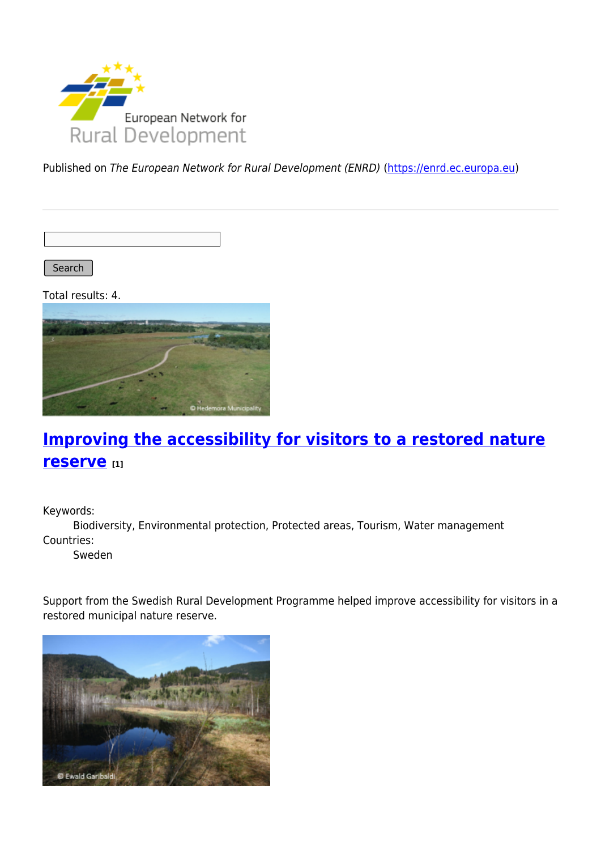

Published on The European Network for Rural Development (ENRD) [\(https://enrd.ec.europa.eu](https://enrd.ec.europa.eu))

Search |

Total results: 4.



# **[Improving the accessibility for visitors to a restored nature](https://enrd.ec.europa.eu/projects-practice/improving-accessibility-visitors-restored-nature-reserve_en) [reserve](https://enrd.ec.europa.eu/projects-practice/improving-accessibility-visitors-restored-nature-reserve_en) [1]**

Keywords:

Biodiversity, Environmental protection, Protected areas, Tourism, Water management Countries:

Sweden

Support from the Swedish Rural Development Programme helped improve accessibility for visitors in a restored municipal nature reserve.

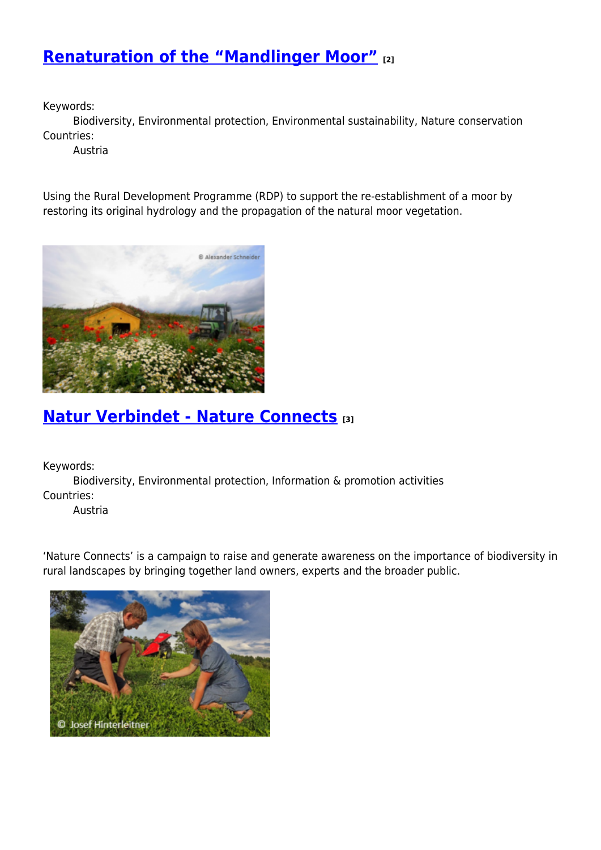## **[Renaturation of the "Mandlinger Moor"](https://enrd.ec.europa.eu/projects-practice/renaturation-mandlinger-moor_en) [2]**

Keywords:

Biodiversity, Environmental protection, Environmental sustainability, Nature conservation Countries:

Austria

Using the Rural Development Programme (RDP) to support the re-establishment of a moor by restoring its original hydrology and the propagation of the natural moor vegetation.



## **[Natur Verbindet - Nature Connects](https://enrd.ec.europa.eu/projects-practice/natur-verbindet-nature-connects_en) [3]**

Keywords:

Biodiversity, Environmental protection, Information & promotion activities Countries:

Austria

'Nature Connects' is a campaign to raise and generate awareness on the importance of biodiversity in rural landscapes by bringing together land owners, experts and the broader public.